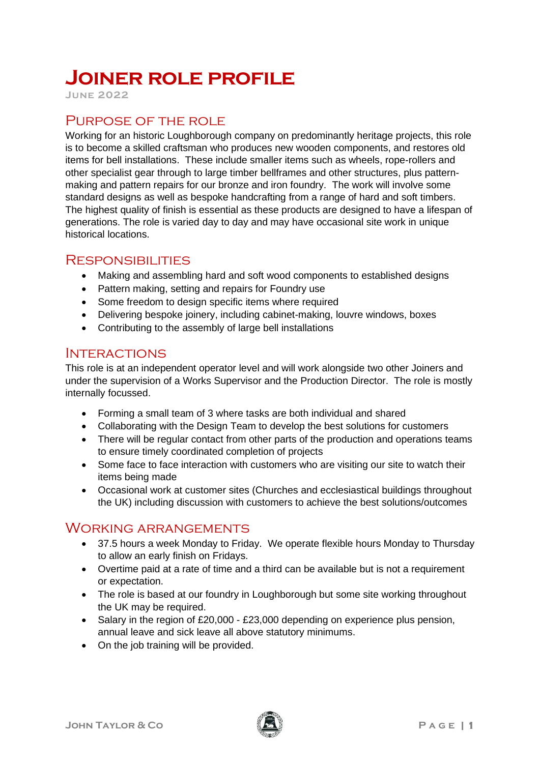# **Joiner role profile**

**June 2022**

## PURPOSE OF THE ROLE

Working for an historic Loughborough company on predominantly heritage projects, this role is to become a skilled craftsman who produces new wooden components, and restores old items for bell installations. These include smaller items such as wheels, rope-rollers and other specialist gear through to large timber bellframes and other structures, plus patternmaking and pattern repairs for our bronze and iron foundry. The work will involve some standard designs as well as bespoke handcrafting from a range of hard and soft timbers. The highest quality of finish is essential as these products are designed to have a lifespan of generations. The role is varied day to day and may have occasional site work in unique historical locations.

#### **RESPONSIBILITIES**

- Making and assembling hard and soft wood components to established designs
- Pattern making, setting and repairs for Foundry use
- Some freedom to design specific items where required
- Delivering bespoke joinery, including cabinet-making, louvre windows, boxes
- Contributing to the assembly of large bell installations

#### **INTERACTIONS**

This role is at an independent operator level and will work alongside two other Joiners and under the supervision of a Works Supervisor and the Production Director. The role is mostly internally focussed.

- Forming a small team of 3 where tasks are both individual and shared
- Collaborating with the Design Team to develop the best solutions for customers
- There will be regular contact from other parts of the production and operations teams to ensure timely coordinated completion of projects
- Some face to face interaction with customers who are visiting our site to watch their items being made
- Occasional work at customer sites (Churches and ecclesiastical buildings throughout the UK) including discussion with customers to achieve the best solutions/outcomes

### Working arrangements

- 37.5 hours a week Monday to Friday. We operate flexible hours Monday to Thursday to allow an early finish on Fridays.
- Overtime paid at a rate of time and a third can be available but is not a requirement or expectation.
- The role is based at our foundry in Loughborough but some site working throughout the UK may be required.
- Salary in the region of £20,000 £23,000 depending on experience plus pension, annual leave and sick leave all above statutory minimums.
- On the job training will be provided.